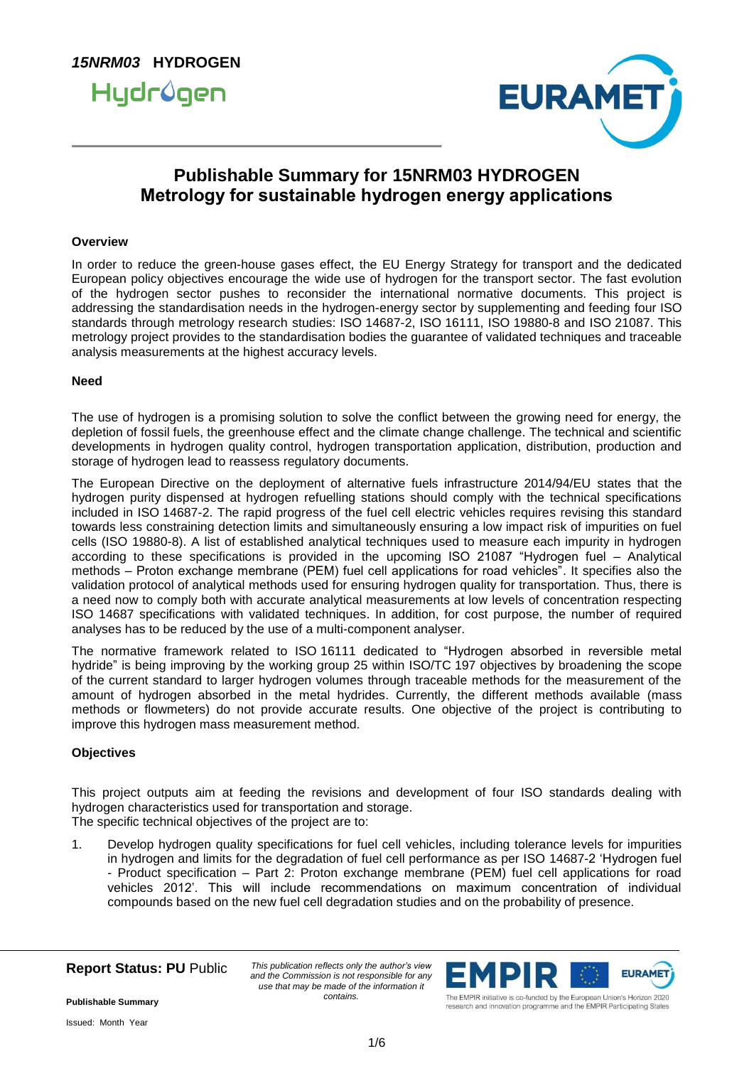



### **Publishable Summary for 15NRM03 HYDROGEN Metrology for sustainable hydrogen energy applications**

#### **Overview**

In order to reduce the green-house gases effect, the EU Energy Strategy for transport and the dedicated European policy objectives encourage the wide use of hydrogen for the transport sector. The fast evolution of the hydrogen sector pushes to reconsider the international normative documents. This project is addressing the standardisation needs in the hydrogen-energy sector by supplementing and feeding four ISO standards through metrology research studies: ISO 14687-2, ISO 16111, ISO 19880-8 and ISO 21087. This metrology project provides to the standardisation bodies the guarantee of validated techniques and traceable analysis measurements at the highest accuracy levels.

#### **Need**

The use of hydrogen is a promising solution to solve the conflict between the growing need for energy, the depletion of fossil fuels, the greenhouse effect and the climate change challenge. The technical and scientific developments in hydrogen quality control, hydrogen transportation application, distribution, production and storage of hydrogen lead to reassess regulatory documents.

The European Directive on the deployment of alternative fuels infrastructure 2014/94/EU states that the hydrogen purity dispensed at hydrogen refuelling stations should comply with the technical specifications included in ISO 14687-2. The rapid progress of the fuel cell electric vehicles requires revising this standard towards less constraining detection limits and simultaneously ensuring a low impact risk of impurities on fuel cells (ISO 19880-8). A list of established analytical techniques used to measure each impurity in hydrogen according to these specifications is provided in the upcoming ISO 21087 "Hydrogen fuel – Analytical methods – Proton exchange membrane (PEM) fuel cell applications for road vehicles". It specifies also the validation protocol of analytical methods used for ensuring hydrogen quality for transportation. Thus, there is a need now to comply both with accurate analytical measurements at low levels of concentration respecting ISO 14687 specifications with validated techniques. In addition, for cost purpose, the number of required analyses has to be reduced by the use of a multi-component analyser.

The normative framework related to ISO 16111 dedicated to "Hydrogen absorbed in reversible metal hydride" is being improving by the working group 25 within ISO/TC 197 objectives by broadening the scope of the current standard to larger hydrogen volumes through traceable methods for the measurement of the amount of hydrogen absorbed in the metal hydrides. Currently, the different methods available (mass methods or flowmeters) do not provide accurate results. One objective of the project is contributing to improve this hydrogen mass measurement method.

#### **Objectives**

This project outputs aim at feeding the revisions and development of four ISO standards dealing with hydrogen characteristics used for transportation and storage. The specific technical objectives of the project are to:

1. Develop hydrogen quality specifications for fuel cell vehicles, including tolerance levels for impurities in hydrogen and limits for the degradation of fuel cell performance as per ISO 14687-2 'Hydrogen fuel - Product specification – Part 2: Proton exchange membrane (PEM) fuel cell applications for road vehicles 2012'. This will include recommendations on maximum concentration of individual compounds based on the new fuel cell degradation studies and on the probability of presence.

**Report Status: PU** Public

*This publication reflects only the author's view and the Commission is not responsible for any use that may be made of the information it contains.*



research and innovation programme and the EMPIR Participating States

**Publishable Summary**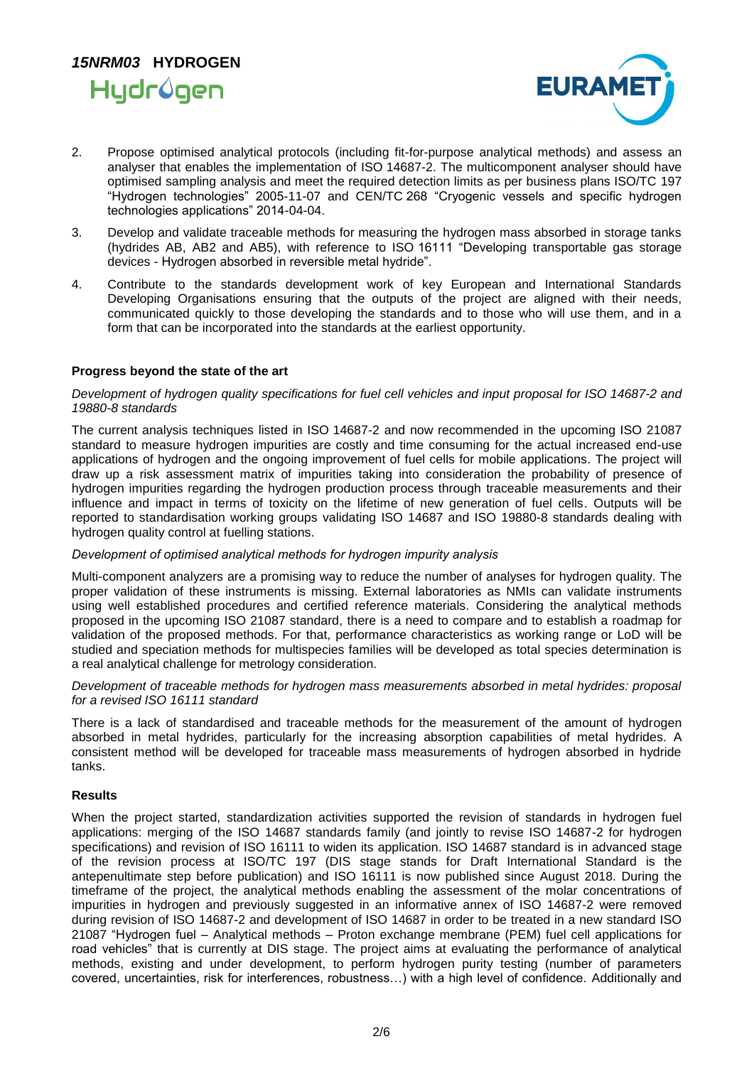



- 2. Propose optimised analytical protocols (including fit-for-purpose analytical methods) and assess an analyser that enables the implementation of ISO 14687-2. The multicomponent analyser should have optimised sampling analysis and meet the required detection limits as per business plans ISO/TC 197 "Hydrogen technologies" 2005-11-07 and CEN/TC 268 "Cryogenic vessels and specific hydrogen technologies applications" 2014-04-04.
- 3. Develop and validate traceable methods for measuring the hydrogen mass absorbed in storage tanks (hydrides AB, AB2 and AB5), with reference to ISO 16111 "Developing transportable gas storage devices - Hydrogen absorbed in reversible metal hydride".
- 4. Contribute to the standards development work of key European and International Standards Developing Organisations ensuring that the outputs of the project are aligned with their needs, communicated quickly to those developing the standards and to those who will use them, and in a form that can be incorporated into the standards at the earliest opportunity.

#### **Progress beyond the state of the art**

#### *Development of hydrogen quality specifications for fuel cell vehicles and input proposal for ISO 14687-2 and 19880-8 standards*

The current analysis techniques listed in ISO 14687-2 and now recommended in the upcoming ISO 21087 standard to measure hydrogen impurities are costly and time consuming for the actual increased end-use applications of hydrogen and the ongoing improvement of fuel cells for mobile applications. The project will draw up a risk assessment matrix of impurities taking into consideration the probability of presence of hydrogen impurities regarding the hydrogen production process through traceable measurements and their influence and impact in terms of toxicity on the lifetime of new generation of fuel cells. Outputs will be reported to standardisation working groups validating ISO 14687 and ISO 19880-8 standards dealing with hydrogen quality control at fuelling stations.

#### *Development of optimised analytical methods for hydrogen impurity analysis*

Multi-component analyzers are a promising way to reduce the number of analyses for hydrogen quality. The proper validation of these instruments is missing. External laboratories as NMIs can validate instruments using well established procedures and certified reference materials. Considering the analytical methods proposed in the upcoming ISO 21087 standard, there is a need to compare and to establish a roadmap for validation of the proposed methods. For that, performance characteristics as working range or LoD will be studied and speciation methods for multispecies families will be developed as total species determination is a real analytical challenge for metrology consideration.

#### *Development of traceable methods for hydrogen mass measurements absorbed in metal hydrides: proposal for a revised ISO 16111 standard*

There is a lack of standardised and traceable methods for the measurement of the amount of hydrogen absorbed in metal hydrides, particularly for the increasing absorption capabilities of metal hydrides. A consistent method will be developed for traceable mass measurements of hydrogen absorbed in hydride tanks.

#### **Results**

When the project started, standardization activities supported the revision of standards in hydrogen fuel applications: merging of the ISO 14687 standards family (and jointly to revise ISO 14687-2 for hydrogen specifications) and revision of ISO 16111 to widen its application. ISO 14687 standard is in advanced stage of the revision process at ISO/TC 197 (DIS stage stands for Draft International Standard is the antepenultimate step before publication) and ISO 16111 is now published since August 2018. During the timeframe of the project, the analytical methods enabling the assessment of the molar concentrations of impurities in hydrogen and previously suggested in an informative annex of ISO 14687-2 were removed during revision of ISO 14687-2 and development of ISO 14687 in order to be treated in a new standard ISO 21087 "Hydrogen fuel – Analytical methods – Proton exchange membrane (PEM) fuel cell applications for road vehicles" that is currently at DIS stage. The project aims at evaluating the performance of analytical methods, existing and under development, to perform hydrogen purity testing (number of parameters covered, uncertainties, risk for interferences, robustness…) with a high level of confidence. Additionally and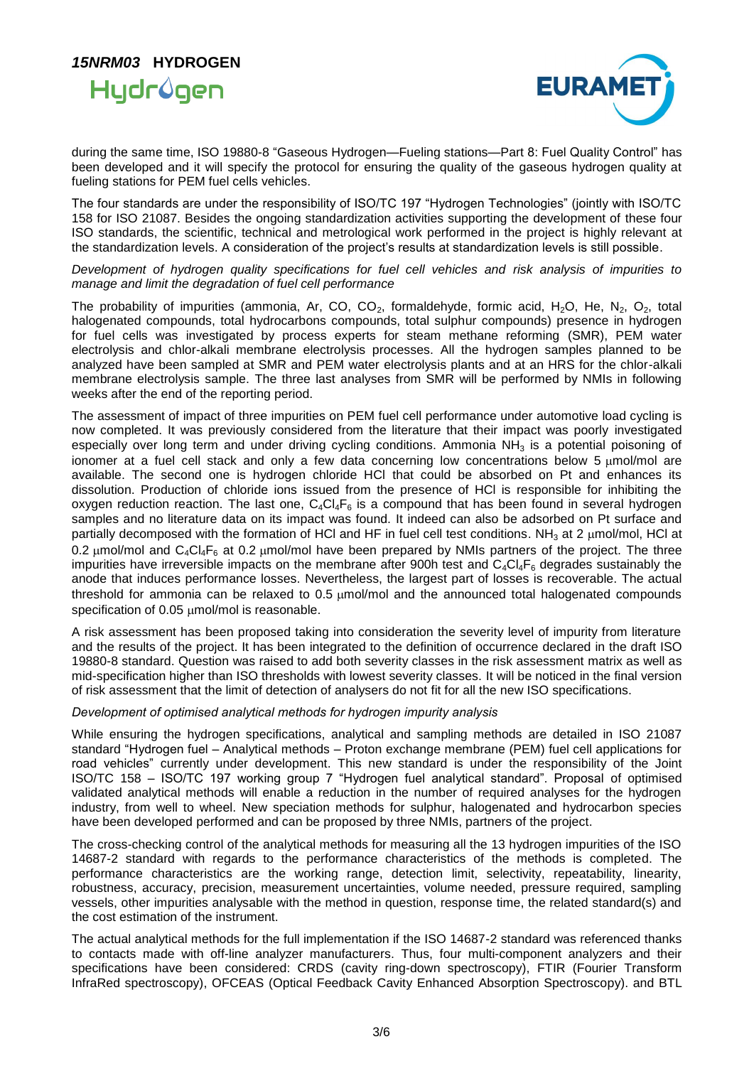## *15NRM03* **HYDROGEN**  Hydrûgen



during the same time, ISO 19880-8 "Gaseous Hydrogen—Fueling stations—Part 8: Fuel Quality Control" has been developed and it will specify the protocol for ensuring the quality of the gaseous hydrogen quality at fueling stations for PEM fuel cells vehicles.

The four standards are under the responsibility of ISO/TC 197 "Hydrogen Technologies" (jointly with ISO/TC 158 for ISO 21087. Besides the ongoing standardization activities supporting the development of these four ISO standards, the scientific, technical and metrological work performed in the project is highly relevant at the standardization levels. A consideration of the project's results at standardization levels is still possible.

*Development of hydrogen quality specifications for fuel cell vehicles and risk analysis of impurities to manage and limit the degradation of fuel cell performance*

The probability of impurities (ammonia, Ar, CO, CO<sub>2</sub>, formaldehyde, formic acid, H<sub>2</sub>O, He, N<sub>2</sub>, O<sub>2</sub>, total halogenated compounds, total hydrocarbons compounds, total sulphur compounds) presence in hydrogen for fuel cells was investigated by process experts for steam methane reforming (SMR), PEM water electrolysis and chlor-alkali membrane electrolysis processes. All the hydrogen samples planned to be analyzed have been sampled at SMR and PEM water electrolysis plants and at an HRS for the chlor-alkali membrane electrolysis sample. The three last analyses from SMR will be performed by NMIs in following weeks after the end of the reporting period.

The assessment of impact of three impurities on PEM fuel cell performance under automotive load cycling is now completed. It was previously considered from the literature that their impact was poorly investigated especially over long term and under driving cycling conditions. Ammonia  $NH<sub>3</sub>$  is a potential poisoning of ionomer at a fuel cell stack and only a few data concerning low concentrations below 5 umol/mol are available. The second one is hydrogen chloride HCl that could be absorbed on Pt and enhances its dissolution. Production of chloride ions issued from the presence of HCl is responsible for inhibiting the oxygen reduction reaction. The last one,  $C_4Cl_4F_6$  is a compound that has been found in several hydrogen samples and no literature data on its impact was found. It indeed can also be adsorbed on Pt surface and partially decomposed with the formation of HCI and HF in fuel cell test conditions. NH<sub>3</sub> at 2  $\mu$ mol/mol, HCI at 0.2 umol/mol and  $C_4C_4F_6$  at 0.2 umol/mol have been prepared by NMIs partners of the project. The three impurities have irreversible impacts on the membrane after 900h test and  $C_4Cl_4F_6$  degrades sustainably the anode that induces performance losses. Nevertheless, the largest part of losses is recoverable. The actual threshold for ammonia can be relaxed to  $0.5 \mu$ mol/mol and the announced total halogenated compounds specification of 0.05 umol/mol is reasonable.

A risk assessment has been proposed taking into consideration the severity level of impurity from literature and the results of the project. It has been integrated to the definition of occurrence declared in the draft ISO 19880-8 standard. Question was raised to add both severity classes in the risk assessment matrix as well as mid-specification higher than ISO thresholds with lowest severity classes. It will be noticed in the final version of risk assessment that the limit of detection of analysers do not fit for all the new ISO specifications.

#### *Development of optimised analytical methods for hydrogen impurity analysis*

While ensuring the hydrogen specifications, analytical and sampling methods are detailed in ISO 21087 standard "Hydrogen fuel – Analytical methods – Proton exchange membrane (PEM) fuel cell applications for road vehicles" currently under development. This new standard is under the responsibility of the Joint ISO/TC 158 – ISO/TC 197 working group 7 "Hydrogen fuel analytical standard". Proposal of optimised validated analytical methods will enable a reduction in the number of required analyses for the hydrogen industry, from well to wheel. New speciation methods for sulphur, halogenated and hydrocarbon species have been developed performed and can be proposed by three NMIs, partners of the project.

The cross-checking control of the analytical methods for measuring all the 13 hydrogen impurities of the ISO 14687-2 standard with regards to the performance characteristics of the methods is completed. The performance characteristics are the working range, detection limit, selectivity, repeatability, linearity, robustness, accuracy, precision, measurement uncertainties, volume needed, pressure required, sampling vessels, other impurities analysable with the method in question, response time, the related standard(s) and the cost estimation of the instrument.

The actual analytical methods for the full implementation if the ISO 14687-2 standard was referenced thanks to contacts made with off-line analyzer manufacturers. Thus, four multi-component analyzers and their specifications have been considered: CRDS (cavity ring-down spectroscopy), FTIR (Fourier Transform InfraRed spectroscopy), OFCEAS (Optical Feedback Cavity Enhanced Absorption Spectroscopy). and BTL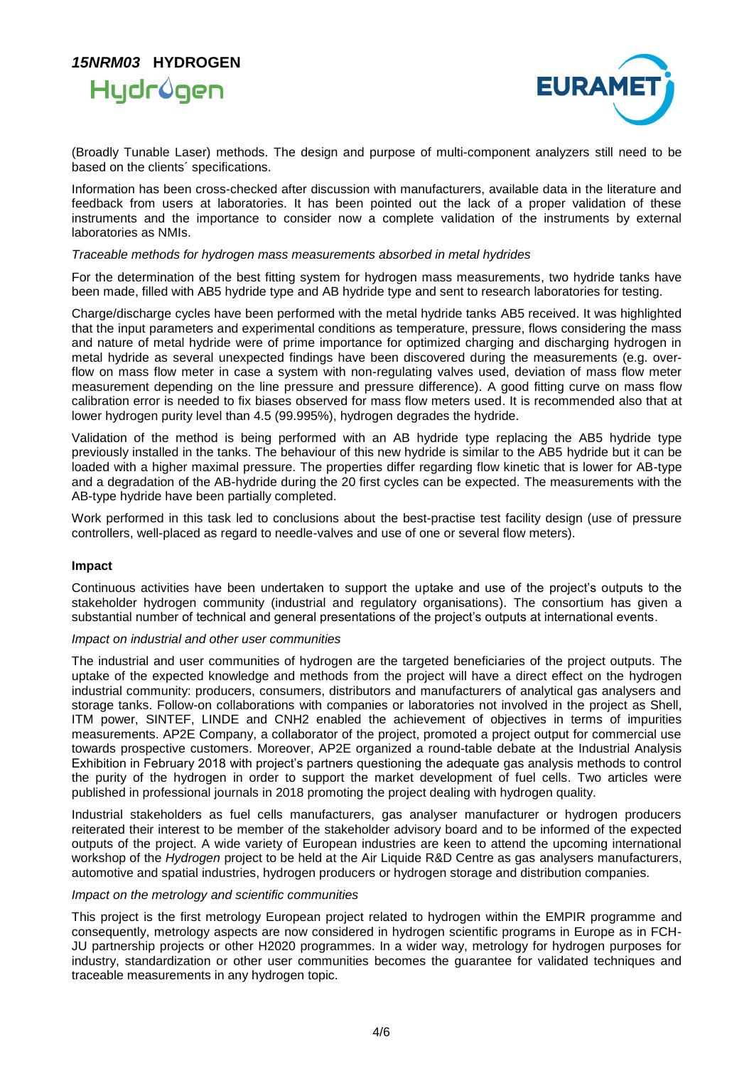### *15NRM03* **HYDROGEN**  Hydrûgen



(Broadly Tunable Laser) methods. The design and purpose of multi-component analyzers still need to be based on the clients´ specifications.

Information has been cross-checked after discussion with manufacturers, available data in the literature and feedback from users at laboratories. It has been pointed out the lack of a proper validation of these instruments and the importance to consider now a complete validation of the instruments by external laboratories as NMIs.

#### *Traceable methods for hydrogen mass measurements absorbed in metal hydrides*

For the determination of the best fitting system for hydrogen mass measurements, two hydride tanks have been made, filled with AB5 hydride type and AB hydride type and sent to research laboratories for testing.

Charge/discharge cycles have been performed with the metal hydride tanks AB5 received. It was highlighted that the input parameters and experimental conditions as temperature, pressure, flows considering the mass and nature of metal hydride were of prime importance for optimized charging and discharging hydrogen in metal hydride as several unexpected findings have been discovered during the measurements (e.g. overflow on mass flow meter in case a system with non-regulating valves used, deviation of mass flow meter measurement depending on the line pressure and pressure difference). A good fitting curve on mass flow calibration error is needed to fix biases observed for mass flow meters used. It is recommended also that at lower hydrogen purity level than 4.5 (99.995%), hydrogen degrades the hydride.

Validation of the method is being performed with an AB hydride type replacing the AB5 hydride type previously installed in the tanks. The behaviour of this new hydride is similar to the AB5 hydride but it can be loaded with a higher maximal pressure. The properties differ regarding flow kinetic that is lower for AB-type and a degradation of the AB-hydride during the 20 first cycles can be expected. The measurements with the AB-type hydride have been partially completed.

Work performed in this task led to conclusions about the best-practise test facility design (use of pressure controllers, well-placed as regard to needle-valves and use of one or several flow meters).

#### **Impact**

Continuous activities have been undertaken to support the uptake and use of the project's outputs to the stakeholder hydrogen community (industrial and regulatory organisations). The consortium has given a substantial number of technical and general presentations of the project's outputs at international events.

#### *Impact on industrial and other user communities*

The industrial and user communities of hydrogen are the targeted beneficiaries of the project outputs. The uptake of the expected knowledge and methods from the project will have a direct effect on the hydrogen industrial community: producers, consumers, distributors and manufacturers of analytical gas analysers and storage tanks. Follow-on collaborations with companies or laboratories not involved in the project as Shell, ITM power, SINTEF, LINDE and CNH2 enabled the achievement of objectives in terms of impurities measurements. AP2E Company, a collaborator of the project, promoted a project output for commercial use towards prospective customers. Moreover, AP2E organized a round-table debate at the Industrial Analysis Exhibition in February 2018 with project's partners questioning the adequate gas analysis methods to control the purity of the hydrogen in order to support the market development of fuel cells. Two articles were published in professional journals in 2018 promoting the project dealing with hydrogen quality.

Industrial stakeholders as fuel cells manufacturers, gas analyser manufacturer or hydrogen producers reiterated their interest to be member of the stakeholder advisory board and to be informed of the expected outputs of the project. A wide variety of European industries are keen to attend the upcoming international workshop of the *Hydrogen* project to be held at the Air Liquide R&D Centre as gas analysers manufacturers, automotive and spatial industries, hydrogen producers or hydrogen storage and distribution companies.

#### *Impact on the metrology and scientific communities*

This project is the first metrology European project related to hydrogen within the EMPIR programme and consequently, metrology aspects are now considered in hydrogen scientific programs in Europe as in FCH-JU partnership projects or other H2020 programmes. In a wider way, metrology for hydrogen purposes for industry, standardization or other user communities becomes the guarantee for validated techniques and traceable measurements in any hydrogen topic.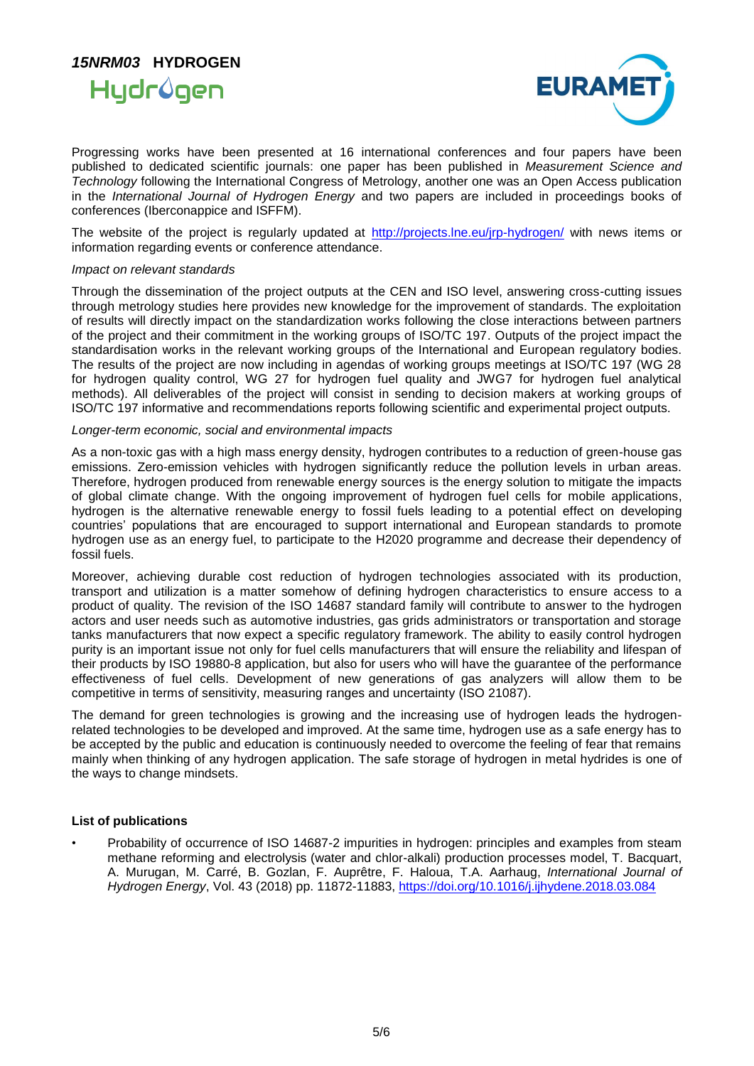



Progressing works have been presented at 16 international conferences and four papers have been published to dedicated scientific journals: one paper has been published in *Measurement Science and Technology* following the International Congress of Metrology, another one was an Open Access publication in the *International Journal of Hydrogen Energy* and two papers are included in proceedings books of conferences (Iberconappice and ISFFM).

The website of the project is regularly updated at<http://projects.lne.eu/jrp-hydrogen/> with news items or information regarding events or conference attendance.

#### *Impact on relevant standards*

Through the dissemination of the project outputs at the CEN and ISO level, answering cross-cutting issues through metrology studies here provides new knowledge for the improvement of standards. The exploitation of results will directly impact on the standardization works following the close interactions between partners of the project and their commitment in the working groups of ISO/TC 197. Outputs of the project impact the standardisation works in the relevant working groups of the International and European regulatory bodies. The results of the project are now including in agendas of working groups meetings at ISO/TC 197 (WG 28 for hydrogen quality control, WG 27 for hydrogen fuel quality and JWG7 for hydrogen fuel analytical methods). All deliverables of the project will consist in sending to decision makers at working groups of ISO/TC 197 informative and recommendations reports following scientific and experimental project outputs.

#### *Longer-term economic, social and environmental impacts*

As a non-toxic gas with a high mass energy density, hydrogen contributes to a reduction of green-house gas emissions. Zero-emission vehicles with hydrogen significantly reduce the pollution levels in urban areas. Therefore, hydrogen produced from renewable energy sources is the energy solution to mitigate the impacts of global climate change. With the ongoing improvement of hydrogen fuel cells for mobile applications, hydrogen is the alternative renewable energy to fossil fuels leading to a potential effect on developing countries' populations that are encouraged to support international and European standards to promote hydrogen use as an energy fuel, to participate to the H2020 programme and decrease their dependency of fossil fuels.

Moreover, achieving durable cost reduction of hydrogen technologies associated with its production, transport and utilization is a matter somehow of defining hydrogen characteristics to ensure access to a product of quality. The revision of the ISO 14687 standard family will contribute to answer to the hydrogen actors and user needs such as automotive industries, gas grids administrators or transportation and storage tanks manufacturers that now expect a specific regulatory framework. The ability to easily control hydrogen purity is an important issue not only for fuel cells manufacturers that will ensure the reliability and lifespan of their products by ISO 19880-8 application, but also for users who will have the guarantee of the performance effectiveness of fuel cells. Development of new generations of gas analyzers will allow them to be competitive in terms of sensitivity, measuring ranges and uncertainty (ISO 21087).

The demand for green technologies is growing and the increasing use of hydrogen leads the hydrogenrelated technologies to be developed and improved. At the same time, hydrogen use as a safe energy has to be accepted by the public and education is continuously needed to overcome the feeling of fear that remains mainly when thinking of any hydrogen application. The safe storage of hydrogen in metal hydrides is one of the ways to change mindsets.

#### **List of publications**

• Probability of occurrence of ISO 14687-2 impurities in hydrogen: principles and examples from steam methane reforming and electrolysis (water and chlor-alkali) production processes model, T. Bacquart, A. Murugan, M. Carré, B. Gozlan, F. Auprêtre, F. Haloua, T.A. Aarhaug, *International Journal of Hydrogen Energy*, [Vol. 43](https://www.sciencedirect.com/science/journal/03603199/43/26) (2018) pp. 11872-11883,<https://doi.org/10.1016/j.ijhydene.2018.03.084>